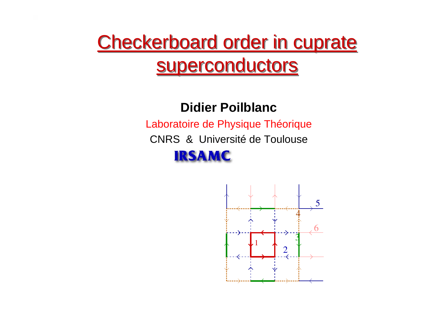# Checkerboard order in cuprate Checkerboard order in cuprate superconductors superconductors

#### **Didier Poilblanc**

Laboratoire de Physique Théorique

CNRS & Université de Toulouse

#### **IRSAMC**

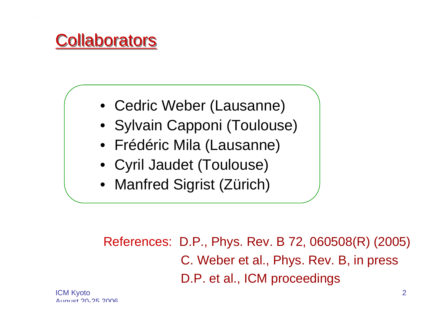

- Cedric Weber (Lausanne)
- Sylvain Capponi (Toulouse)
- Frédéric Mila (Lausanne)
- Cyril Jaudet (Toulouse)
- Manfred Sigrist (Zürich)

References: D.P., Phys. Rev. B 72, 060508(R) (2005) C. Weber et al., Phys. Rev. B, in press D.P. et al., ICM proceedings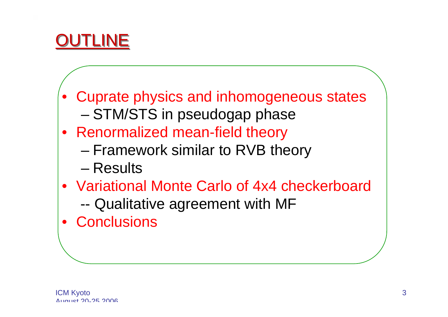

- • Cuprate physics and inhomogeneous states –STM/STS in pseudogap phase
- Renormalized mean-field theory
	- and the state of the state Framework similar to RVB theory
	- Results
- Variational Monte Carlo of 4x4 checkerboard--Qualitative agreement with MF
- •**Conclusions**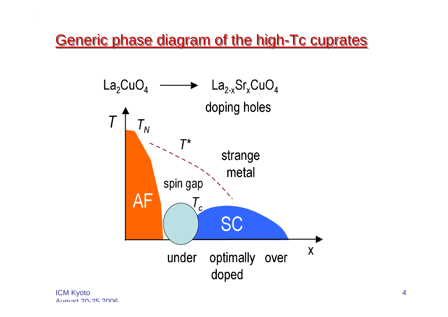Generic phase diagram of the high-Tc cuprates



ICM Kyoto  $A_{11}$  $A_{12}$  $A_{21}$  $A_{12}$  $A_{21}$  $A_{22}$  $A_{23}$  $A_{24}$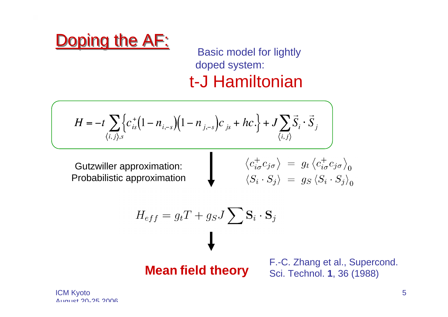

doped system: t-J Hamiltonian

$$
H = -t \sum_{\langle i,j \rangle, s} \left\{ c_{is}^+(1 - n_{i,-s})(1 - n_{j,-s})c_{js} + hc \right\} + J \sum_{\langle i,j \rangle} \vec{S}_i \cdot \vec{S}_j
$$

Gutzwiller approximation: Probabilistic approximation

$$
\begin{array}{rcl} \left\langle c_{i\sigma}^{+}c_{j\sigma}\right\rangle & = & g_{t}\left\langle c_{i\sigma}^{+}c_{j\sigma}\right\rangle_{0} \\ \left\langle S_{i}\cdot S_{j}\right\rangle & = & g_{S}\left\langle S_{i}\cdot S_{j}\right\rangle_{0} \end{array}
$$

$$
H_{eff} = g_t T + g_S J \sum S_i \cdot S_j
$$

**Mean field theory** F.-C. Zhang et al., Supercond.<br>
Sci. Technol. **1**, 36 (1988)

ICM Kyoto  $A_{11}$  $A_{12}$  $A_{21}$  $A_{12}$  $A_{21}$  $A_{22}$  $A_{23}$  $A_{24}$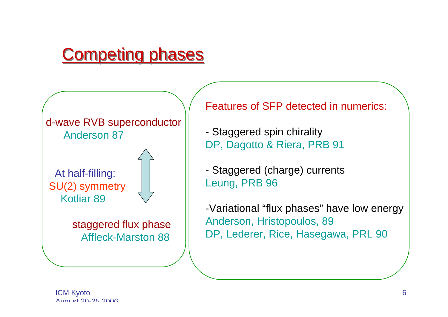

d-wave RVB superconductor Anderson 87

At half-filling: SU(2) symmetry Kotliar 89



staggered flux phase Affleck-Marston 88

Features of SFP detected in numerics:

 Staggered spin chirality DP, Dagotto & Riera, PRB 91

 Staggered (charge) currents Leung, PRB 96

-Variational "flux phases" have low energy Anderson, Hristopoulos, 89 DP, Lederer, Rice, Hasegawa, PRL 90

ICM Kyoto  $A_{11}$  $A_{12}$  $A_{21}$  $A_{31}$  $A_{12}$  $A_{21}$  $A_{22}$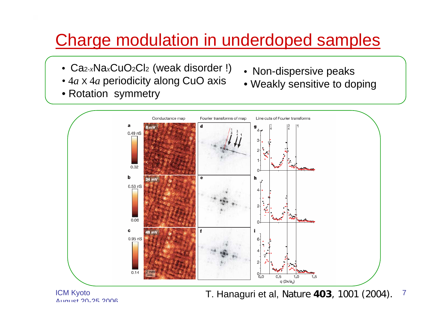# Charge modulation in underdoped samples

- Ca2-*x*Na*x*CuO2Cl2 (weak disorder !)
- 4*a* X 4*a* periodicity along CuO axis
- Rotation symmetry
- Non-dispersive peaks
- Weakly sensitive to doping



ICM Kyoto  $A_{11}$ augt 20-25 2006

7T. Hanaguri et al, Nature **403**, 1001 (2004).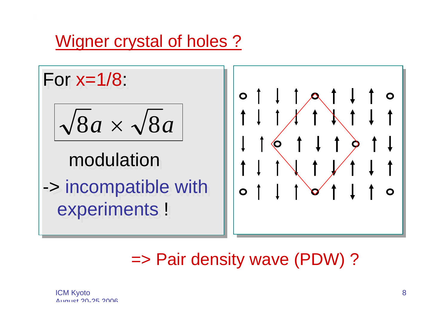### Wigner crystal of holes ?

For x=1/8: For x=1/8:

$$
\sqrt{8a} \times \sqrt{8a}
$$

# modulation

-> incompatible with -> incompatible with experiments ! experiments !



# => Pair density wave (PDW) ?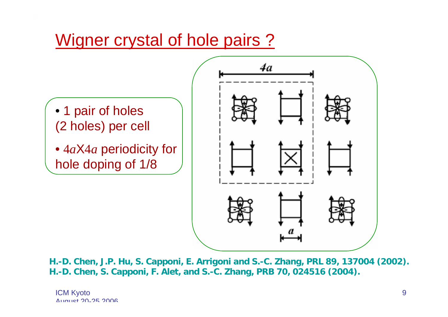## Wigner crystal of hole pairs ?



**H.-D. Chen, J.P. Hu, S. Capponi, E. Arrigoni and S.-C. Zhang, PRL 89, 137004 (2002). H.-D. Chen, S. Capponi, F. Alet, and S.-C. Zhang, PRB 70, 024516 (2004).**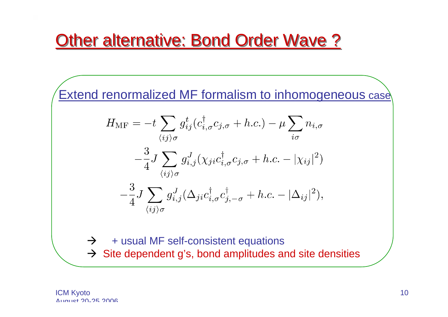## **Other alternative: Bond Order Wave ?**

Extend renormalized MF formalism to inhomogeneous case

$$
H_{\rm MF} = -t \sum_{\langle ij \rangle \sigma} g_{ij}^t (c_{i,\sigma}^\dagger c_{j,\sigma} + h.c.) - \mu \sum_{i\sigma} n_{i,\sigma}
$$

$$
- \frac{3}{4} J \sum_{\langle ij \rangle \sigma} g_{i,j}^J (\chi_{ji} c_{i,\sigma}^\dagger c_{j,\sigma} + h.c. - |\chi_{ij}|^2)
$$

$$
- \frac{3}{4} J \sum_{\langle ij \rangle \sigma} g_{i,j}^J (\Delta_{ji} c_{i,\sigma}^\dagger c_{j,-\sigma}^\dagger + h.c. - |\Delta_{ij}|^2),
$$

- $\rightarrow$ + usual MF self-consistent equations
- $\rightarrow$  Site dependent g's, bond amplitudes and site densities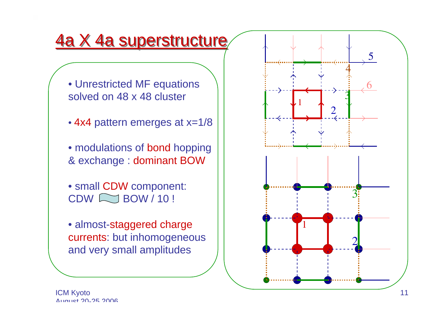### 4a X 4a superstructure

- Unrestricted MF equations solved on 48 x 48 cluster
- 4x4 pattern emerges at x=1/8
- modulations of bond hopping & exchange : dominant BOW
- small CDW component:  $CDW \sim$  BOW / 10 !
- almost-staggered charge currents: but inhomogeneous and very small amplitudes

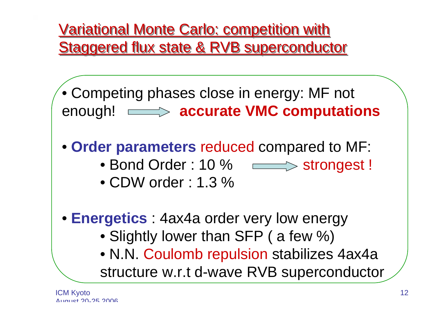Variational Monte Carlo: competition with Variational Monte Carlo: competition with Staggered flux state & RVB superconductor Staggered flux state & RVB superconductor

• Competing phases close in energy: MF not enough! **accurate VMC computations**

• **Order parameters** reduced compared to MF:

- Bond Order : 10 %  $\quad \quad \longmapsto$  strongest !
- CDW order : 1.3 %
- **Energetics** : 4ax4a order very low energy
	- Slightly lower than SFP ( a few %)
	- N.N. Coulomb repulsion stabilizes 4ax4a structure w.r.t d-wave RVB superconductor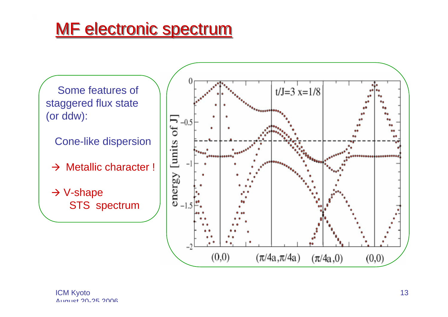## MF electronic spectrum

Some features of staggered flux state (or ddw):

Cone-like dispersion

 $\rightarrow$  Metallic character !

 $\rightarrow$  V-shape STS spectrum